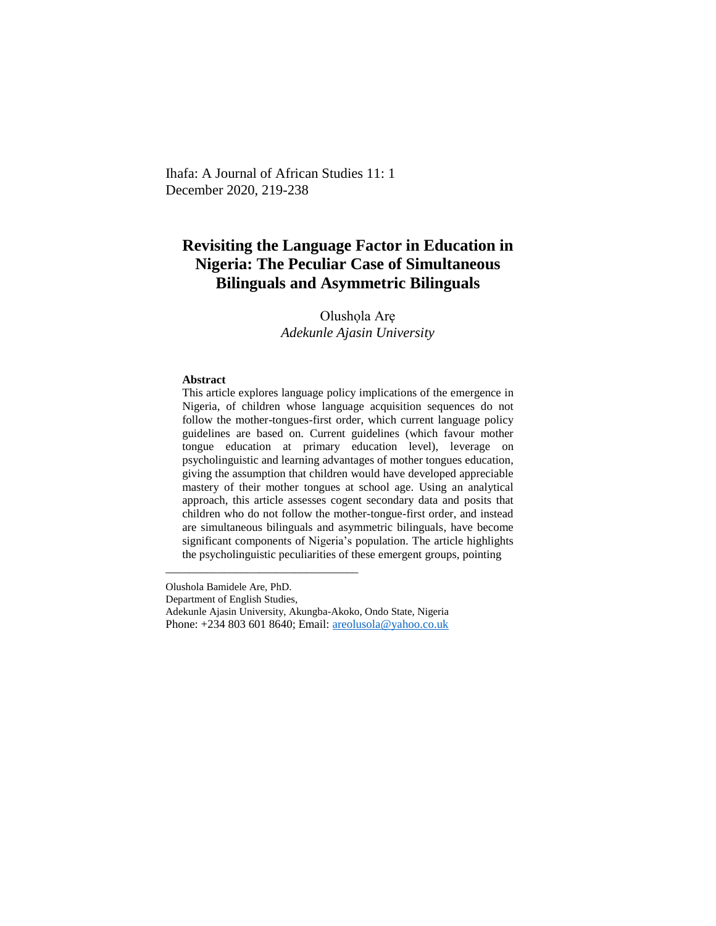Ihafa: A Journal of African Studies 11: 1 December 2020, 219-238

# **Revisiting the Language Factor in Education in Nigeria: The Peculiar Case of Simultaneous Bilinguals and Asymmetric Bilinguals**

Olushola Are *Adekunle Ajasin University*

### **Abstract**

This article explores language policy implications of the emergence in Nigeria, of children whose language acquisition sequences do not follow the mother-tongues-first order, which current language policy guidelines are based on. Current guidelines (which favour mother tongue education at primary education level), leverage on psycholinguistic and learning advantages of mother tongues education, giving the assumption that children would have developed appreciable mastery of their mother tongues at school age. Using an analytical approach, this article assesses cogent secondary data and posits that children who do not follow the mother-tongue-first order, and instead are simultaneous bilinguals and asymmetric bilinguals, have become significant components of Nigeria's population. The article highlights the psycholinguistic peculiarities of these emergent groups, pointing

Olushola Bamidele Are, PhD.

\_\_\_\_\_\_\_\_\_\_\_\_\_\_\_\_\_\_\_\_\_\_\_\_\_\_\_\_\_\_\_\_\_

Department of English Studies,

Adekunle Ajasin University, Akungba-Akoko, Ondo State, Nigeria

Phone: +234 803 601 8640; Email: [areolusola@yahoo.co.uk](mailto:areolusola@yahoo.co.uk)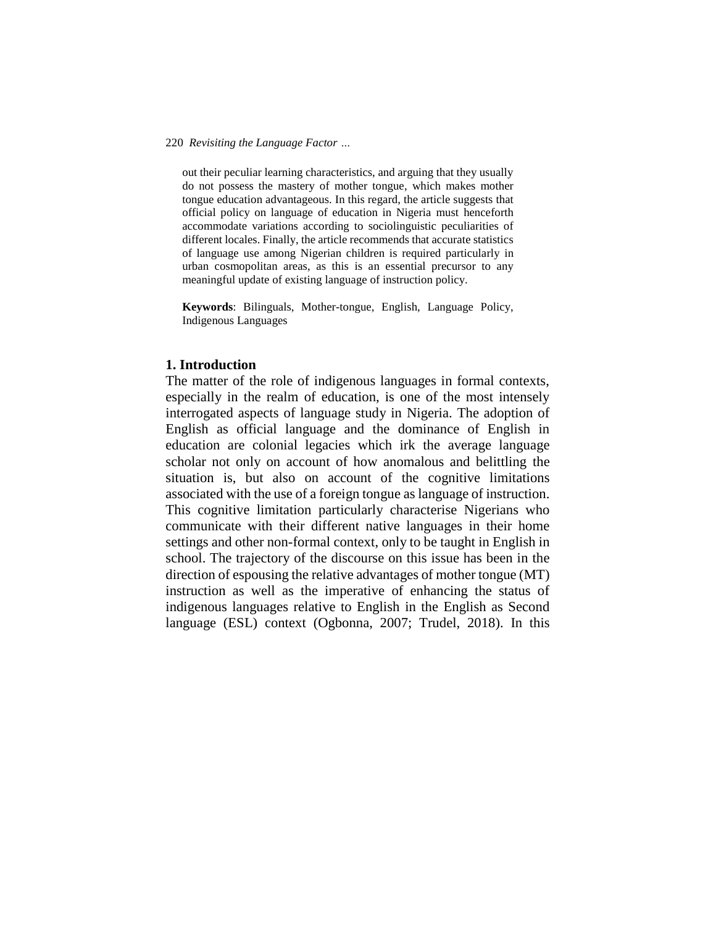out their peculiar learning characteristics, and arguing that they usually do not possess the mastery of mother tongue, which makes mother tongue education advantageous. In this regard, the article suggests that official policy on language of education in Nigeria must henceforth accommodate variations according to sociolinguistic peculiarities of different locales. Finally, the article recommends that accurate statistics of language use among Nigerian children is required particularly in urban cosmopolitan areas, as this is an essential precursor to any meaningful update of existing language of instruction policy.

**Keywords**: Bilinguals, Mother-tongue, English, Language Policy, Indigenous Languages

# **1. Introduction**

The matter of the role of indigenous languages in formal contexts, especially in the realm of education, is one of the most intensely interrogated aspects of language study in Nigeria. The adoption of English as official language and the dominance of English in education are colonial legacies which irk the average language scholar not only on account of how anomalous and belittling the situation is, but also on account of the cognitive limitations associated with the use of a foreign tongue as language of instruction. This cognitive limitation particularly characterise Nigerians who communicate with their different native languages in their home settings and other non-formal context, only to be taught in English in school. The trajectory of the discourse on this issue has been in the direction of espousing the relative advantages of mother tongue (MT) instruction as well as the imperative of enhancing the status of indigenous languages relative to English in the English as Second language (ESL) context (Ogbonna, 2007; Trudel, 2018). In this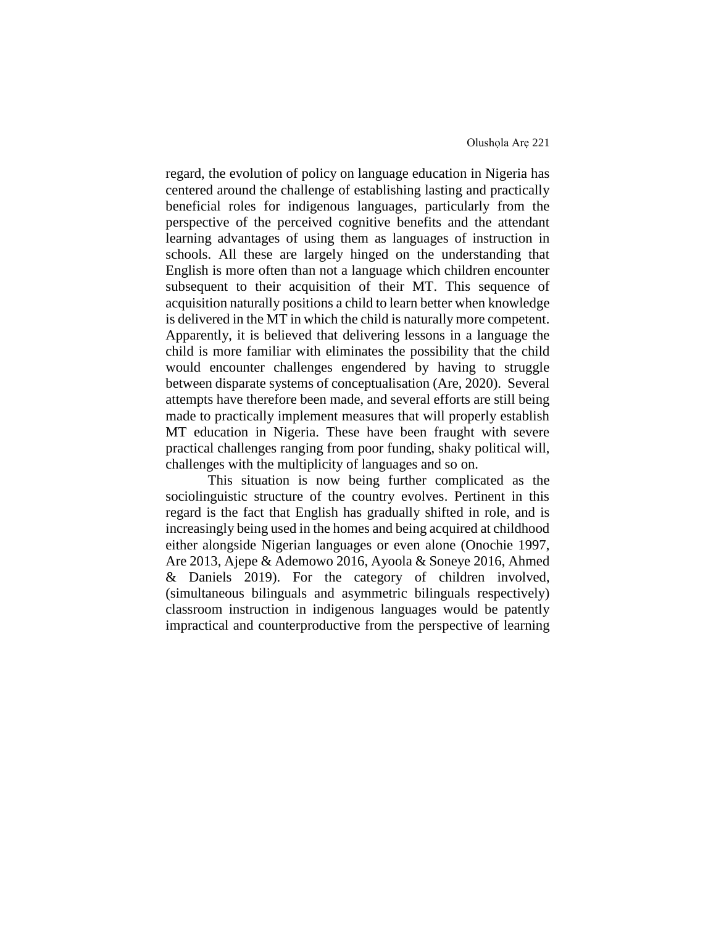regard, the evolution of policy on language education in Nigeria has centered around the challenge of establishing lasting and practically beneficial roles for indigenous languages, particularly from the perspective of the perceived cognitive benefits and the attendant learning advantages of using them as languages of instruction in schools. All these are largely hinged on the understanding that English is more often than not a language which children encounter subsequent to their acquisition of their MT. This sequence of acquisition naturally positions a child to learn better when knowledge is delivered in the MT in which the child is naturally more competent. Apparently, it is believed that delivering lessons in a language the child is more familiar with eliminates the possibility that the child would encounter challenges engendered by having to struggle between disparate systems of conceptualisation (Are, 2020). Several attempts have therefore been made, and several efforts are still being made to practically implement measures that will properly establish MT education in Nigeria. These have been fraught with severe practical challenges ranging from poor funding, shaky political will, challenges with the multiplicity of languages and so on.

This situation is now being further complicated as the sociolinguistic structure of the country evolves. Pertinent in this regard is the fact that English has gradually shifted in role, and is increasingly being used in the homes and being acquired at childhood either alongside Nigerian languages or even alone (Onochie 1997, Are 2013, Ajepe & Ademowo 2016, Ayoola & Soneye 2016, Ahmed & Daniels 2019). For the category of children involved, (simultaneous bilinguals and asymmetric bilinguals respectively) classroom instruction in indigenous languages would be patently impractical and counterproductive from the perspective of learning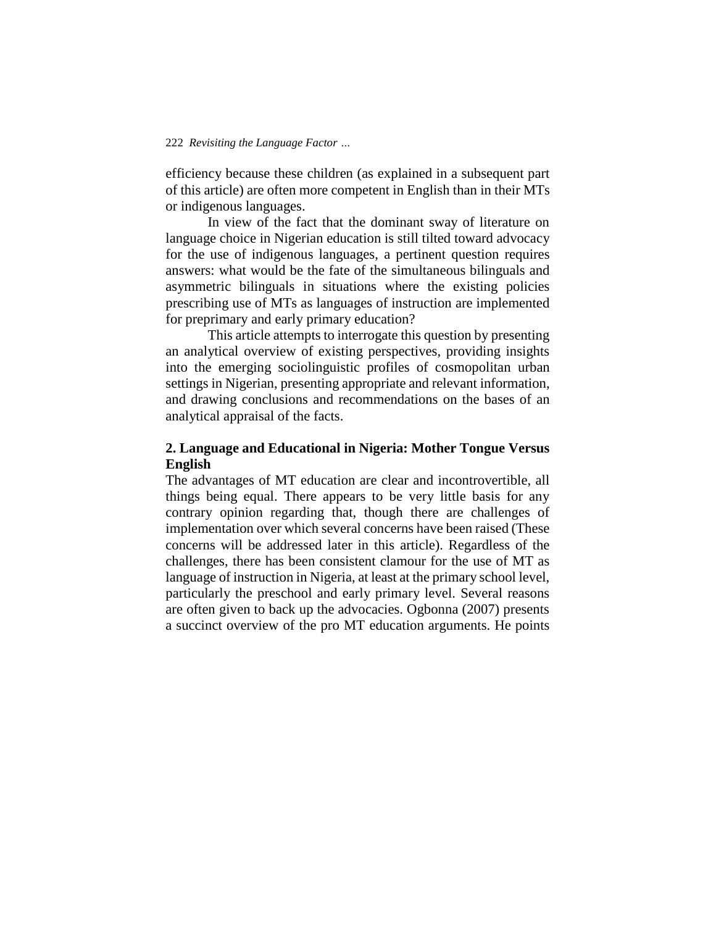efficiency because these children (as explained in a subsequent part of this article) are often more competent in English than in their MTs or indigenous languages.

In view of the fact that the dominant sway of literature on language choice in Nigerian education is still tilted toward advocacy for the use of indigenous languages, a pertinent question requires answers: what would be the fate of the simultaneous bilinguals and asymmetric bilinguals in situations where the existing policies prescribing use of MTs as languages of instruction are implemented for preprimary and early primary education?

This article attempts to interrogate this question by presenting an analytical overview of existing perspectives, providing insights into the emerging sociolinguistic profiles of cosmopolitan urban settings in Nigerian, presenting appropriate and relevant information, and drawing conclusions and recommendations on the bases of an analytical appraisal of the facts.

# **2. Language and Educational in Nigeria: Mother Tongue Versus English**

The advantages of MT education are clear and incontrovertible, all things being equal. There appears to be very little basis for any contrary opinion regarding that, though there are challenges of implementation over which several concerns have been raised (These concerns will be addressed later in this article). Regardless of the challenges, there has been consistent clamour for the use of MT as language of instruction in Nigeria, at least at the primary school level, particularly the preschool and early primary level. Several reasons are often given to back up the advocacies. Ogbonna (2007) presents a succinct overview of the pro MT education arguments. He points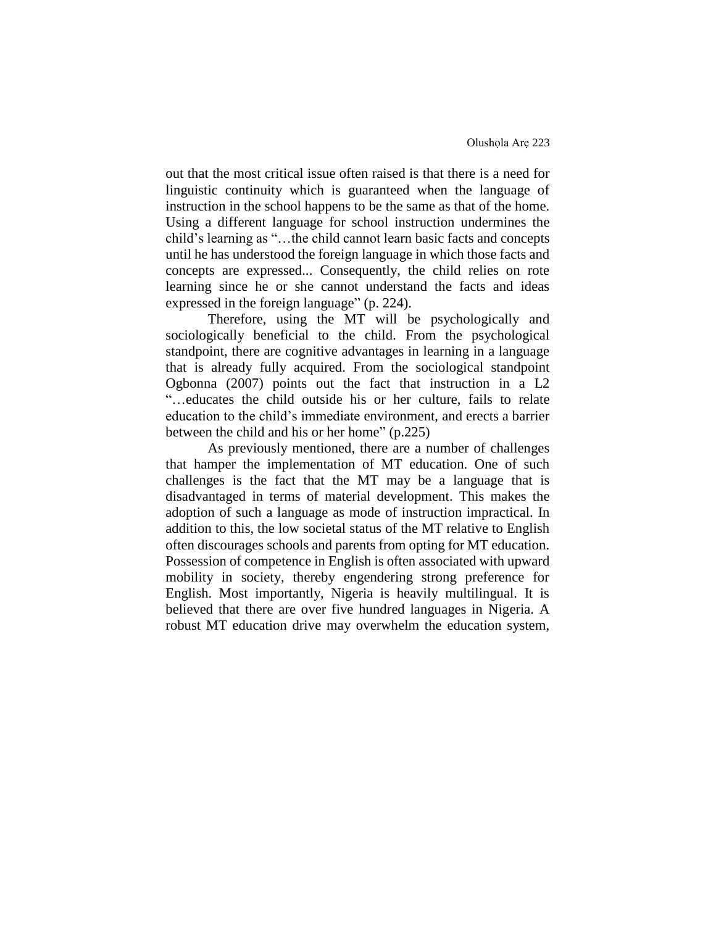out that the most critical issue often raised is that there is a need for linguistic continuity which is guaranteed when the language of instruction in the school happens to be the same as that of the home. Using a different language for school instruction undermines the child's learning as "…the child cannot learn basic facts and concepts until he has understood the foreign language in which those facts and concepts are expressed... Consequently, the child relies on rote learning since he or she cannot understand the facts and ideas expressed in the foreign language" (p. 224).

Therefore, using the MT will be psychologically and sociologically beneficial to the child. From the psychological standpoint, there are cognitive advantages in learning in a language that is already fully acquired. From the sociological standpoint Ogbonna (2007) points out the fact that instruction in a L2 "…educates the child outside his or her culture, fails to relate education to the child's immediate environment, and erects a barrier between the child and his or her home" (p.225)

As previously mentioned, there are a number of challenges that hamper the implementation of MT education. One of such challenges is the fact that the MT may be a language that is disadvantaged in terms of material development. This makes the adoption of such a language as mode of instruction impractical. In addition to this, the low societal status of the MT relative to English often discourages schools and parents from opting for MT education. Possession of competence in English is often associated with upward mobility in society, thereby engendering strong preference for English. Most importantly, Nigeria is heavily multilingual. It is believed that there are over five hundred languages in Nigeria. A robust MT education drive may overwhelm the education system,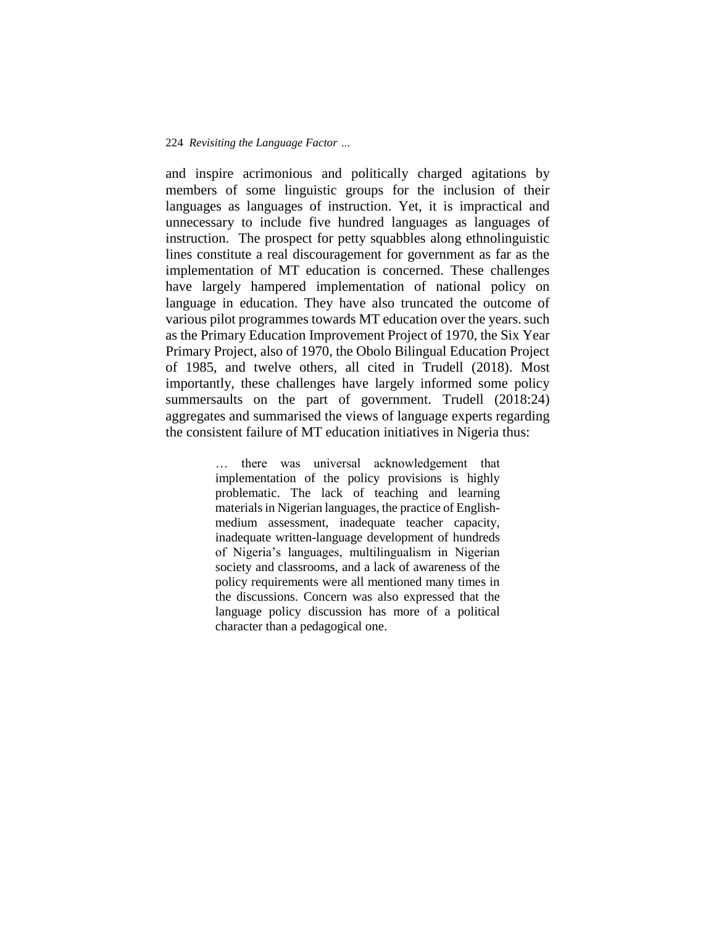and inspire acrimonious and politically charged agitations by members of some linguistic groups for the inclusion of their languages as languages of instruction. Yet, it is impractical and unnecessary to include five hundred languages as languages of instruction. The prospect for petty squabbles along ethnolinguistic lines constitute a real discouragement for government as far as the implementation of MT education is concerned. These challenges have largely hampered implementation of national policy on language in education. They have also truncated the outcome of various pilot programmes towards MT education over the years. such as the Primary Education Improvement Project of 1970, the Six Year Primary Project, also of 1970, the Obolo Bilingual Education Project of 1985, and twelve others, all cited in Trudell (2018). Most importantly, these challenges have largely informed some policy summersaults on the part of government. Trudell (2018:24) aggregates and summarised the views of language experts regarding the consistent failure of MT education initiatives in Nigeria thus:

> … there was universal acknowledgement that implementation of the policy provisions is highly problematic. The lack of teaching and learning materials in Nigerian languages, the practice of Englishmedium assessment, inadequate teacher capacity, inadequate written-language development of hundreds of Nigeria's languages, multilingualism in Nigerian society and classrooms, and a lack of awareness of the policy requirements were all mentioned many times in the discussions. Concern was also expressed that the language policy discussion has more of a political character than a pedagogical one.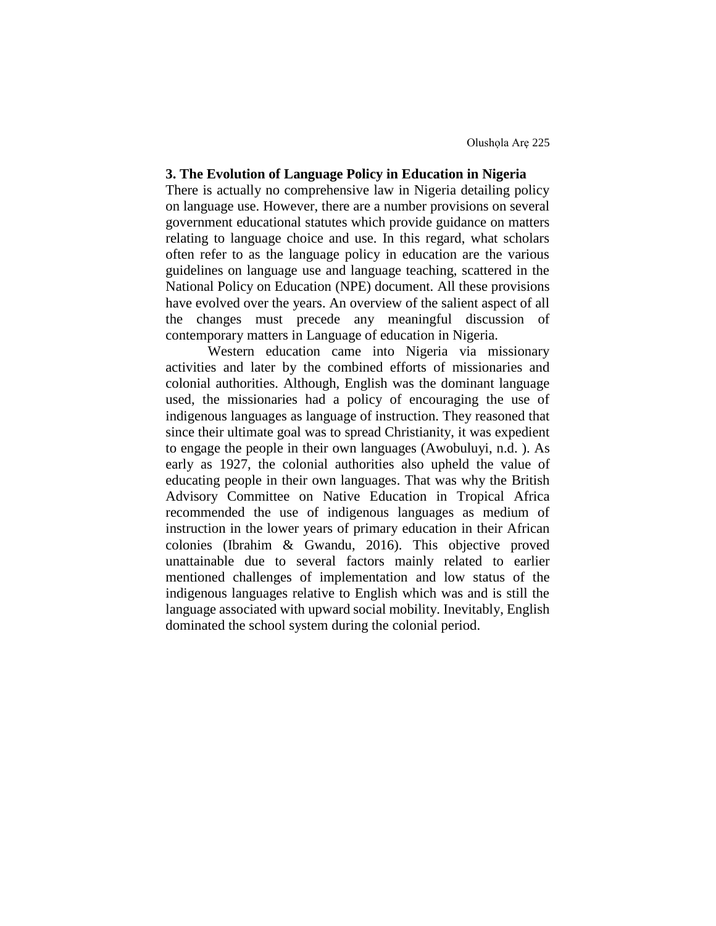# **3. The Evolution of Language Policy in Education in Nigeria**

There is actually no comprehensive law in Nigeria detailing policy on language use. However, there are a number provisions on several government educational statutes which provide guidance on matters relating to language choice and use. In this regard, what scholars often refer to as the language policy in education are the various guidelines on language use and language teaching, scattered in the National Policy on Education (NPE) document. All these provisions have evolved over the years. An overview of the salient aspect of all the changes must precede any meaningful discussion of contemporary matters in Language of education in Nigeria.

 Western education came into Nigeria via missionary activities and later by the combined efforts of missionaries and colonial authorities. Although, English was the dominant language used, the missionaries had a policy of encouraging the use of indigenous languages as language of instruction. They reasoned that since their ultimate goal was to spread Christianity, it was expedient to engage the people in their own languages (Awobuluyi, n.d. ). As early as 1927, the colonial authorities also upheld the value of educating people in their own languages. That was why the British Advisory Committee on Native Education in Tropical Africa recommended the use of indigenous languages as medium of instruction in the lower years of primary education in their African colonies (Ibrahim & Gwandu, 2016). This objective proved unattainable due to several factors mainly related to earlier mentioned challenges of implementation and low status of the indigenous languages relative to English which was and is still the language associated with upward social mobility. Inevitably, English dominated the school system during the colonial period.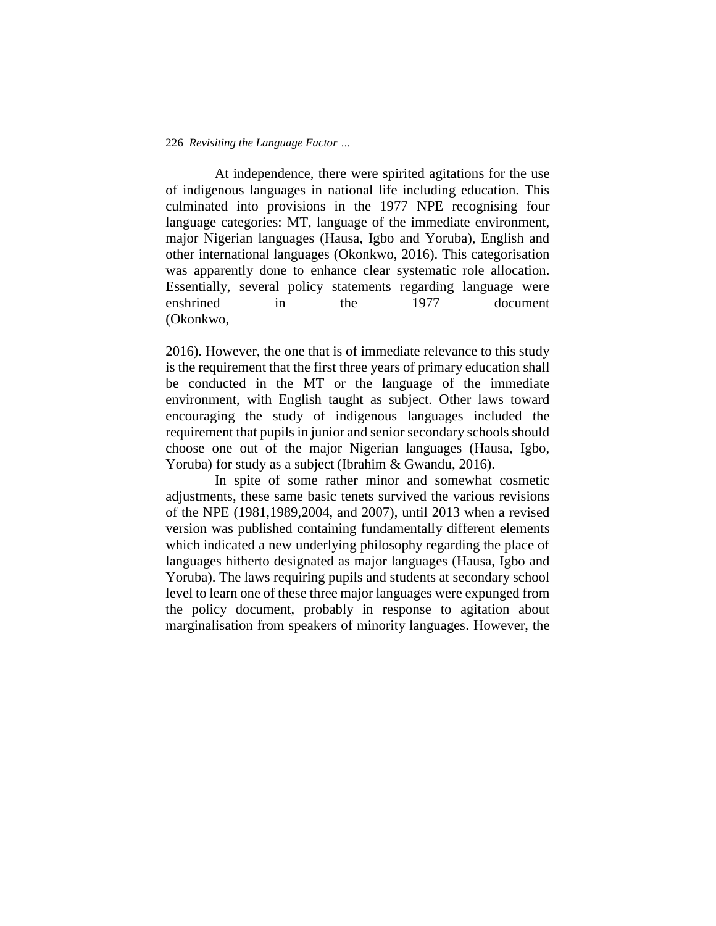At independence, there were spirited agitations for the use of indigenous languages in national life including education. This culminated into provisions in the 1977 NPE recognising four language categories: MT, language of the immediate environment, major Nigerian languages (Hausa, Igbo and Yoruba), English and other international languages (Okonkwo, 2016). This categorisation was apparently done to enhance clear systematic role allocation. Essentially, several policy statements regarding language were enshrined in the 1977 document (Okonkwo,

2016). However, the one that is of immediate relevance to this study is the requirement that the first three years of primary education shall be conducted in the MT or the language of the immediate environment, with English taught as subject. Other laws toward encouraging the study of indigenous languages included the requirement that pupils in junior and senior secondary schools should choose one out of the major Nigerian languages (Hausa, Igbo, Yoruba) for study as a subject (Ibrahim & Gwandu, 2016).

 In spite of some rather minor and somewhat cosmetic adjustments, these same basic tenets survived the various revisions of the NPE (1981,1989,2004, and 2007), until 2013 when a revised version was published containing fundamentally different elements which indicated a new underlying philosophy regarding the place of languages hitherto designated as major languages (Hausa, Igbo and Yoruba). The laws requiring pupils and students at secondary school level to learn one of these three major languages were expunged from the policy document, probably in response to agitation about marginalisation from speakers of minority languages. However, the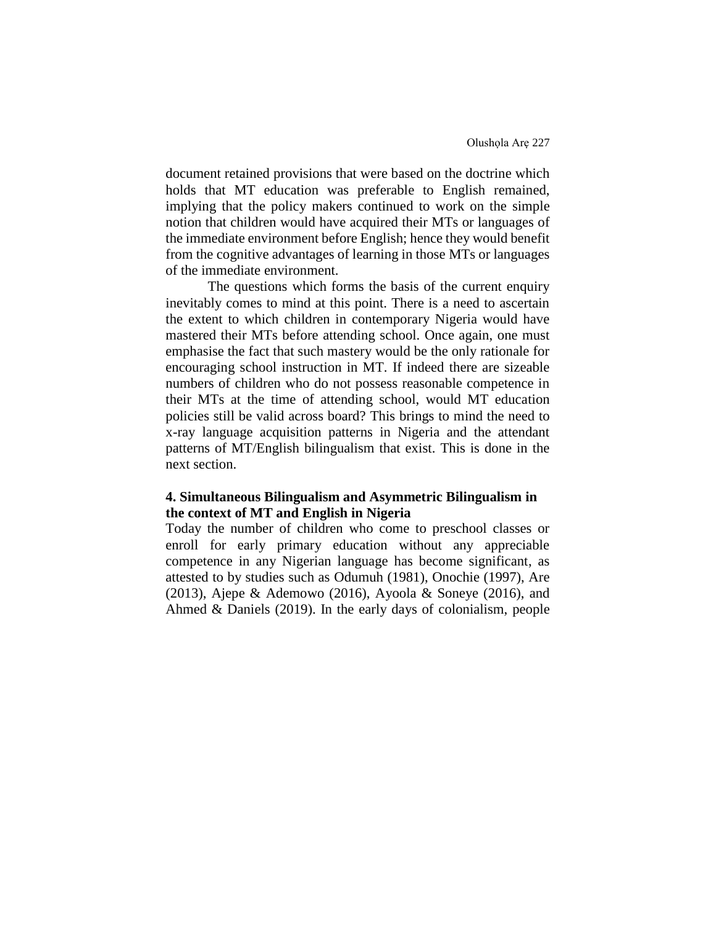document retained provisions that were based on the doctrine which holds that MT education was preferable to English remained, implying that the policy makers continued to work on the simple notion that children would have acquired their MTs or languages of the immediate environment before English; hence they would benefit from the cognitive advantages of learning in those MTs or languages of the immediate environment.

 The questions which forms the basis of the current enquiry inevitably comes to mind at this point. There is a need to ascertain the extent to which children in contemporary Nigeria would have mastered their MTs before attending school. Once again, one must emphasise the fact that such mastery would be the only rationale for encouraging school instruction in MT. If indeed there are sizeable numbers of children who do not possess reasonable competence in their MTs at the time of attending school, would MT education policies still be valid across board? This brings to mind the need to x-ray language acquisition patterns in Nigeria and the attendant patterns of MT/English bilingualism that exist. This is done in the next section.

# **4. Simultaneous Bilingualism and Asymmetric Bilingualism in the context of MT and English in Nigeria**

Today the number of children who come to preschool classes or enroll for early primary education without any appreciable competence in any Nigerian language has become significant, as attested to by studies such as Odumuh (1981), Onochie (1997), Are (2013), Ajepe & Ademowo (2016), Ayoola & Soneye (2016), and Ahmed & Daniels (2019). In the early days of colonialism, people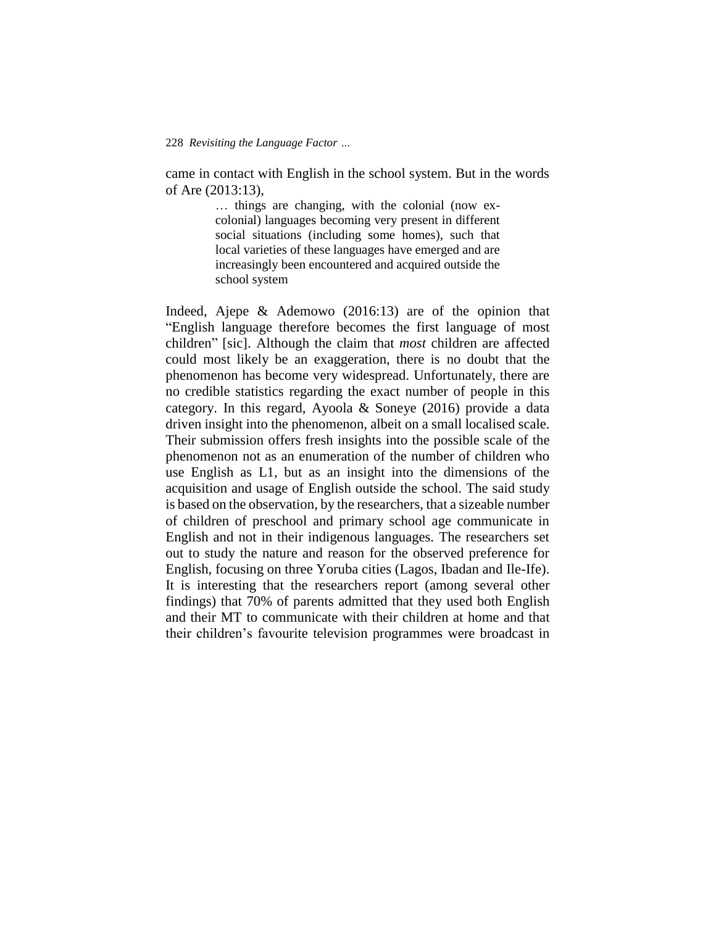came in contact with English in the school system. But in the words of Are (2013:13),

> … things are changing, with the colonial (now excolonial) languages becoming very present in different social situations (including some homes), such that local varieties of these languages have emerged and are increasingly been encountered and acquired outside the school system

Indeed, Ajepe & Ademowo (2016:13) are of the opinion that "English language therefore becomes the first language of most children" [sic]. Although the claim that *most* children are affected could most likely be an exaggeration, there is no doubt that the phenomenon has become very widespread. Unfortunately, there are no credible statistics regarding the exact number of people in this category. In this regard, Ayoola & Soneye (2016) provide a data driven insight into the phenomenon, albeit on a small localised scale. Their submission offers fresh insights into the possible scale of the phenomenon not as an enumeration of the number of children who use English as L1, but as an insight into the dimensions of the acquisition and usage of English outside the school. The said study is based on the observation, by the researchers, that a sizeable number of children of preschool and primary school age communicate in English and not in their indigenous languages. The researchers set out to study the nature and reason for the observed preference for English, focusing on three Yoruba cities (Lagos, Ibadan and Ile-Ife). It is interesting that the researchers report (among several other findings) that 70% of parents admitted that they used both English and their MT to communicate with their children at home and that their children's favourite television programmes were broadcast in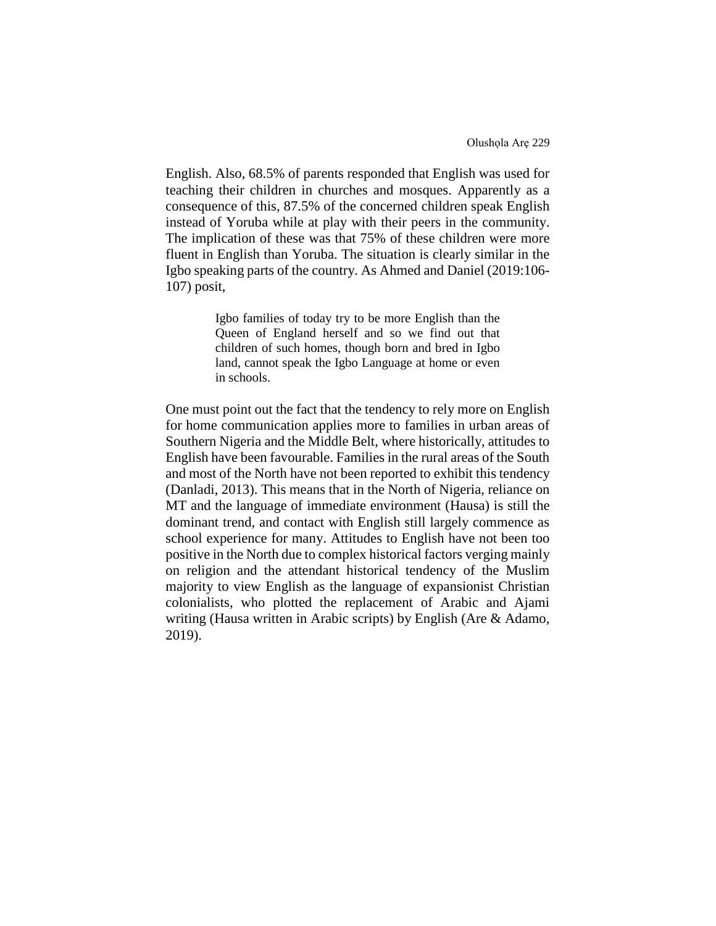English. Also, 68.5% of parents responded that English was used for teaching their children in churches and mosques. Apparently as a consequence of this, 87.5% of the concerned children speak English instead of Yoruba while at play with their peers in the community. The implication of these was that 75% of these children were more fluent in English than Yoruba. The situation is clearly similar in the Igbo speaking parts of the country. As Ahmed and Daniel (2019:106- 107) posit,

> Igbo families of today try to be more English than the Queen of England herself and so we find out that children of such homes, though born and bred in Igbo land, cannot speak the Igbo Language at home or even in schools.

One must point out the fact that the tendency to rely more on English for home communication applies more to families in urban areas of Southern Nigeria and the Middle Belt, where historically, attitudes to English have been favourable. Families in the rural areas of the South and most of the North have not been reported to exhibit this tendency (Danladi, 2013). This means that in the North of Nigeria, reliance on MT and the language of immediate environment (Hausa) is still the dominant trend, and contact with English still largely commence as school experience for many. Attitudes to English have not been too positive in the North due to complex historical factors verging mainly on religion and the attendant historical tendency of the Muslim majority to view English as the language of expansionist Christian colonialists, who plotted the replacement of Arabic and Ajami writing (Hausa written in Arabic scripts) by English (Are & Adamo, 2019).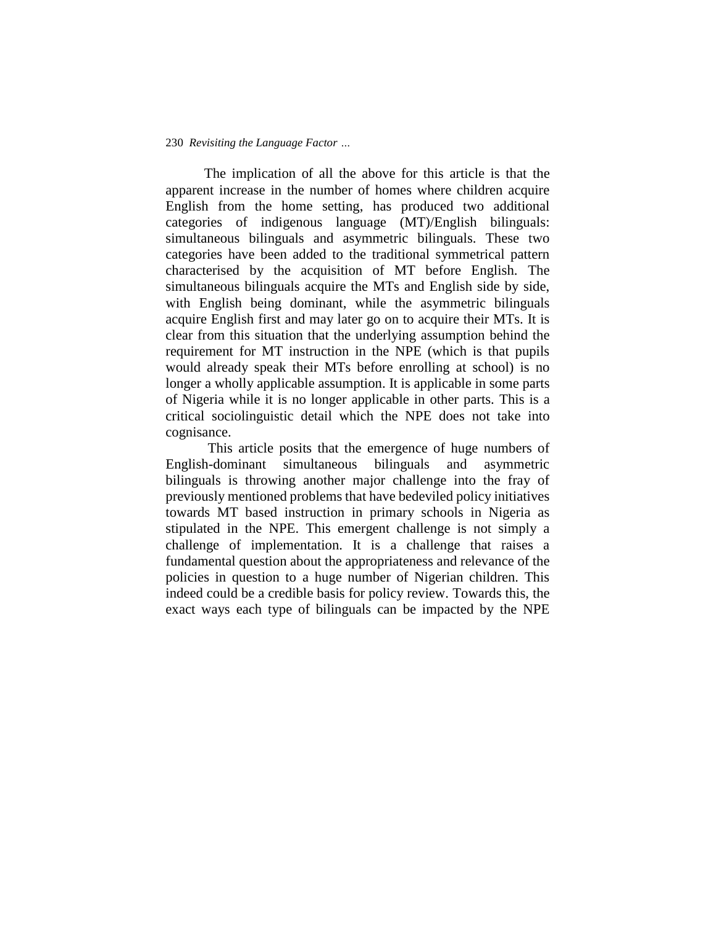The implication of all the above for this article is that the apparent increase in the number of homes where children acquire English from the home setting, has produced two additional categories of indigenous language (MT)/English bilinguals: simultaneous bilinguals and asymmetric bilinguals. These two categories have been added to the traditional symmetrical pattern characterised by the acquisition of MT before English. The simultaneous bilinguals acquire the MTs and English side by side, with English being dominant, while the asymmetric bilinguals acquire English first and may later go on to acquire their MTs. It is clear from this situation that the underlying assumption behind the requirement for MT instruction in the NPE (which is that pupils would already speak their MTs before enrolling at school) is no longer a wholly applicable assumption. It is applicable in some parts of Nigeria while it is no longer applicable in other parts. This is a critical sociolinguistic detail which the NPE does not take into cognisance.

 This article posits that the emergence of huge numbers of English-dominant simultaneous bilinguals and asymmetric bilinguals is throwing another major challenge into the fray of previously mentioned problems that have bedeviled policy initiatives towards MT based instruction in primary schools in Nigeria as stipulated in the NPE. This emergent challenge is not simply a challenge of implementation. It is a challenge that raises a fundamental question about the appropriateness and relevance of the policies in question to a huge number of Nigerian children. This indeed could be a credible basis for policy review. Towards this, the exact ways each type of bilinguals can be impacted by the NPE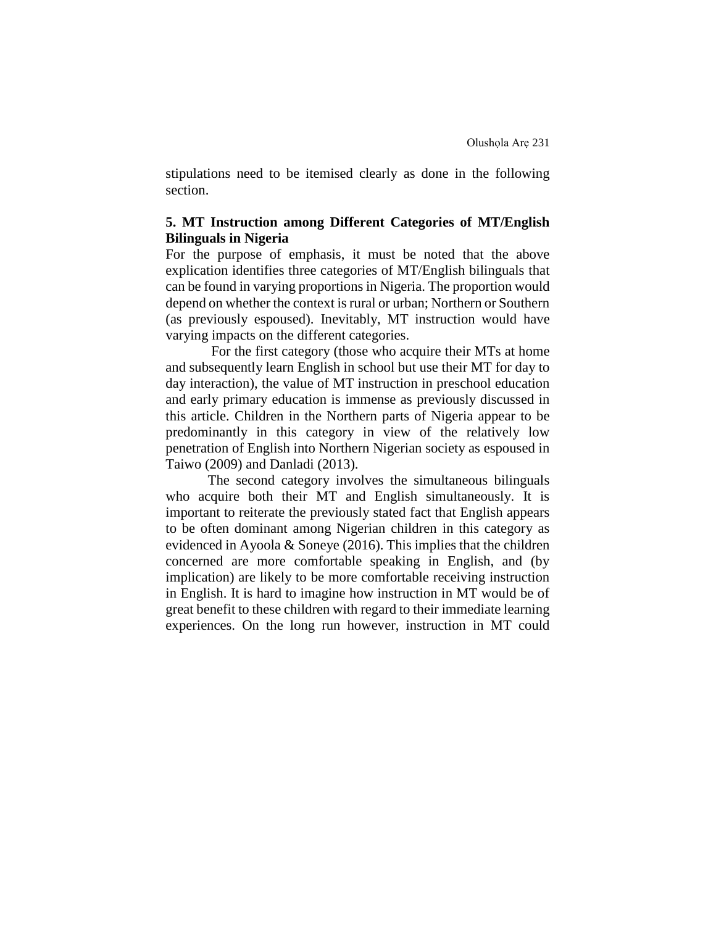stipulations need to be itemised clearly as done in the following section.

# **5. MT Instruction among Different Categories of MT/English Bilinguals in Nigeria**

For the purpose of emphasis, it must be noted that the above explication identifies three categories of MT/English bilinguals that can be found in varying proportions in Nigeria. The proportion would depend on whether the context is rural or urban; Northern or Southern (as previously espoused). Inevitably, MT instruction would have varying impacts on the different categories.

 For the first category (those who acquire their MTs at home and subsequently learn English in school but use their MT for day to day interaction), the value of MT instruction in preschool education and early primary education is immense as previously discussed in this article. Children in the Northern parts of Nigeria appear to be predominantly in this category in view of the relatively low penetration of English into Northern Nigerian society as espoused in Taiwo (2009) and Danladi (2013).

 The second category involves the simultaneous bilinguals who acquire both their MT and English simultaneously. It is important to reiterate the previously stated fact that English appears to be often dominant among Nigerian children in this category as evidenced in Ayoola & Soneye (2016). This implies that the children concerned are more comfortable speaking in English, and (by implication) are likely to be more comfortable receiving instruction in English. It is hard to imagine how instruction in MT would be of great benefit to these children with regard to their immediate learning experiences. On the long run however, instruction in MT could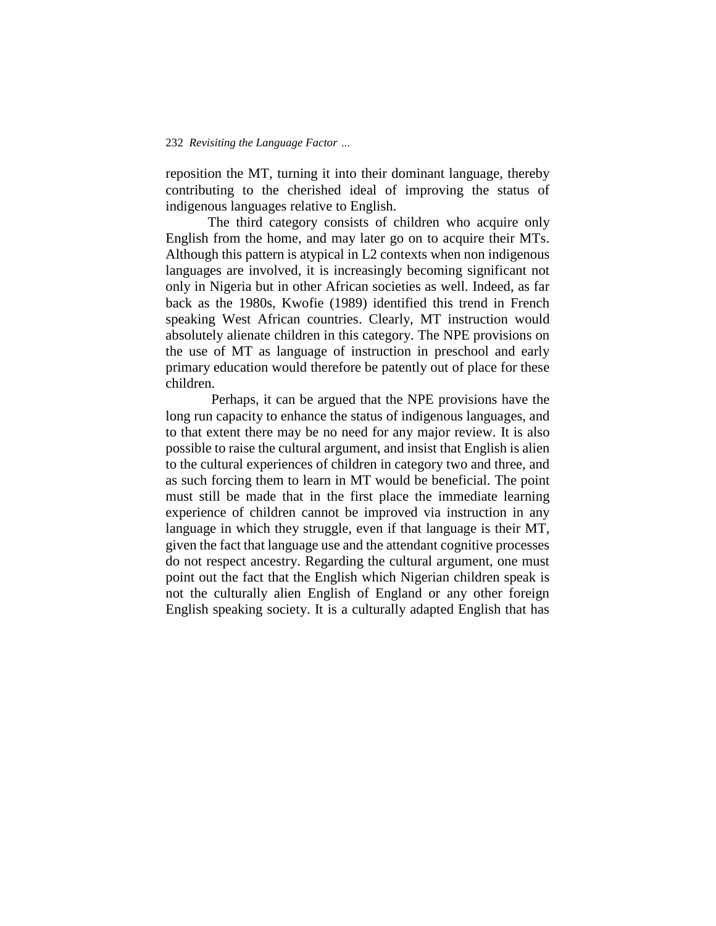reposition the MT, turning it into their dominant language, thereby contributing to the cherished ideal of improving the status of indigenous languages relative to English.

 The third category consists of children who acquire only English from the home, and may later go on to acquire their MTs. Although this pattern is atypical in L2 contexts when non indigenous languages are involved, it is increasingly becoming significant not only in Nigeria but in other African societies as well. Indeed, as far back as the 1980s, Kwofie (1989) identified this trend in French speaking West African countries. Clearly, MT instruction would absolutely alienate children in this category. The NPE provisions on the use of MT as language of instruction in preschool and early primary education would therefore be patently out of place for these children.

 Perhaps, it can be argued that the NPE provisions have the long run capacity to enhance the status of indigenous languages, and to that extent there may be no need for any major review. It is also possible to raise the cultural argument, and insist that English is alien to the cultural experiences of children in category two and three, and as such forcing them to learn in MT would be beneficial. The point must still be made that in the first place the immediate learning experience of children cannot be improved via instruction in any language in which they struggle, even if that language is their MT, given the fact that language use and the attendant cognitive processes do not respect ancestry. Regarding the cultural argument, one must point out the fact that the English which Nigerian children speak is not the culturally alien English of England or any other foreign English speaking society. It is a culturally adapted English that has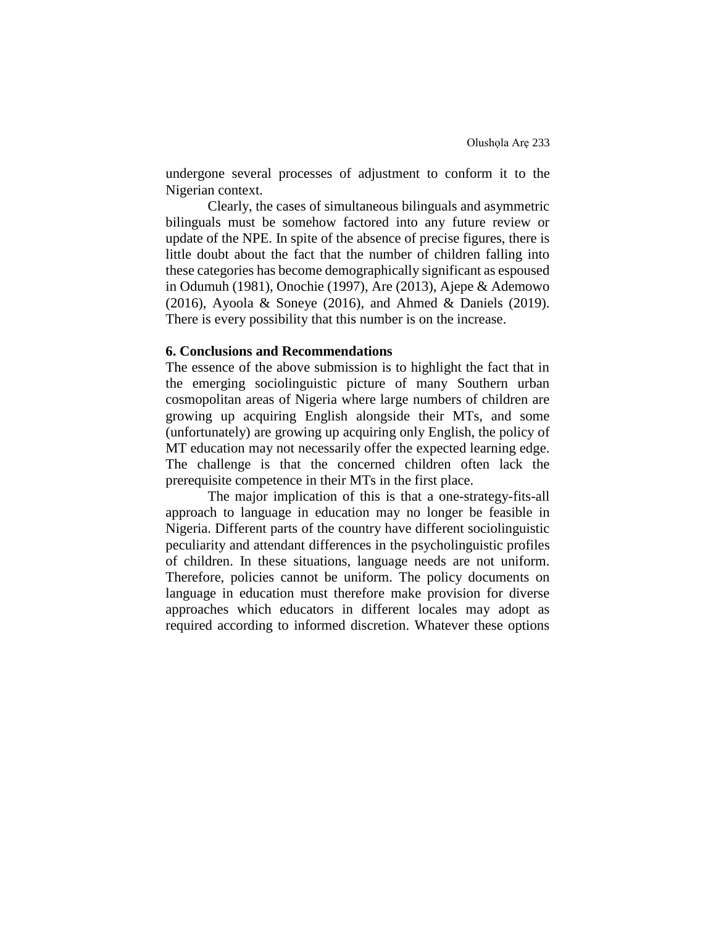undergone several processes of adjustment to conform it to the Nigerian context.

 Clearly, the cases of simultaneous bilinguals and asymmetric bilinguals must be somehow factored into any future review or update of the NPE. In spite of the absence of precise figures, there is little doubt about the fact that the number of children falling into these categories has become demographically significant as espoused in Odumuh (1981), Onochie (1997), Are (2013), Ajepe & Ademowo (2016), Ayoola & Soneye (2016), and Ahmed & Daniels (2019). There is every possibility that this number is on the increase.

### **6. Conclusions and Recommendations**

The essence of the above submission is to highlight the fact that in the emerging sociolinguistic picture of many Southern urban cosmopolitan areas of Nigeria where large numbers of children are growing up acquiring English alongside their MTs, and some (unfortunately) are growing up acquiring only English, the policy of MT education may not necessarily offer the expected learning edge. The challenge is that the concerned children often lack the prerequisite competence in their MTs in the first place.

The major implication of this is that a one-strategy-fits-all approach to language in education may no longer be feasible in Nigeria. Different parts of the country have different sociolinguistic peculiarity and attendant differences in the psycholinguistic profiles of children. In these situations, language needs are not uniform. Therefore, policies cannot be uniform. The policy documents on language in education must therefore make provision for diverse approaches which educators in different locales may adopt as required according to informed discretion. Whatever these options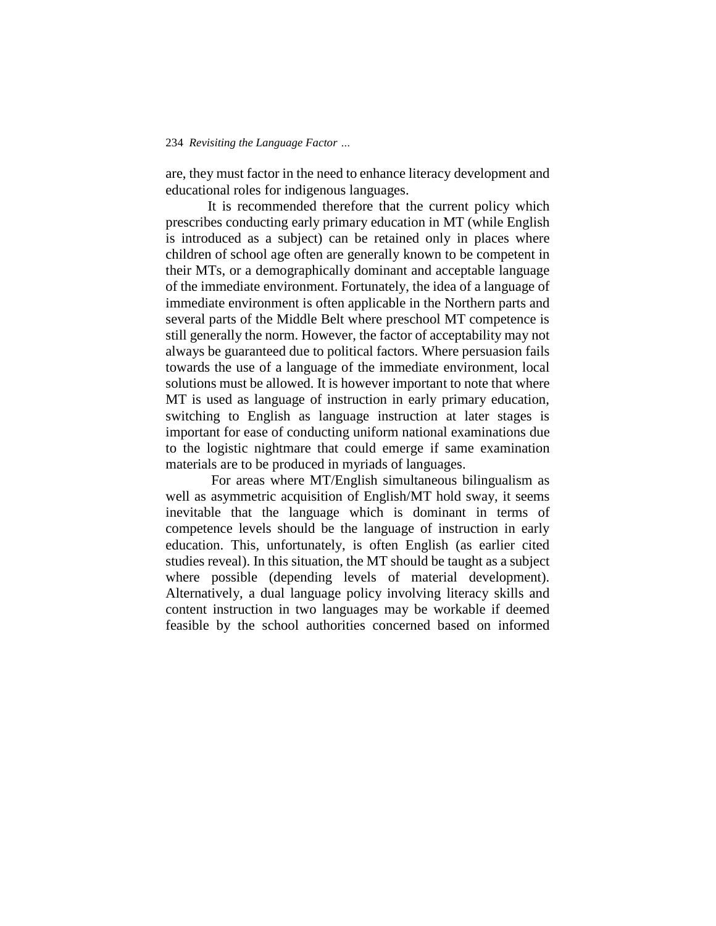are, they must factor in the need to enhance literacy development and educational roles for indigenous languages.

It is recommended therefore that the current policy which prescribes conducting early primary education in MT (while English is introduced as a subject) can be retained only in places where children of school age often are generally known to be competent in their MTs, or a demographically dominant and acceptable language of the immediate environment. Fortunately, the idea of a language of immediate environment is often applicable in the Northern parts and several parts of the Middle Belt where preschool MT competence is still generally the norm. However, the factor of acceptability may not always be guaranteed due to political factors. Where persuasion fails towards the use of a language of the immediate environment, local solutions must be allowed. It is however important to note that where MT is used as language of instruction in early primary education, switching to English as language instruction at later stages is important for ease of conducting uniform national examinations due to the logistic nightmare that could emerge if same examination materials are to be produced in myriads of languages.

For areas where MT/English simultaneous bilingualism as well as asymmetric acquisition of English/MT hold sway, it seems inevitable that the language which is dominant in terms of competence levels should be the language of instruction in early education. This, unfortunately, is often English (as earlier cited studies reveal). In this situation, the MT should be taught as a subject where possible (depending levels of material development). Alternatively, a dual language policy involving literacy skills and content instruction in two languages may be workable if deemed feasible by the school authorities concerned based on informed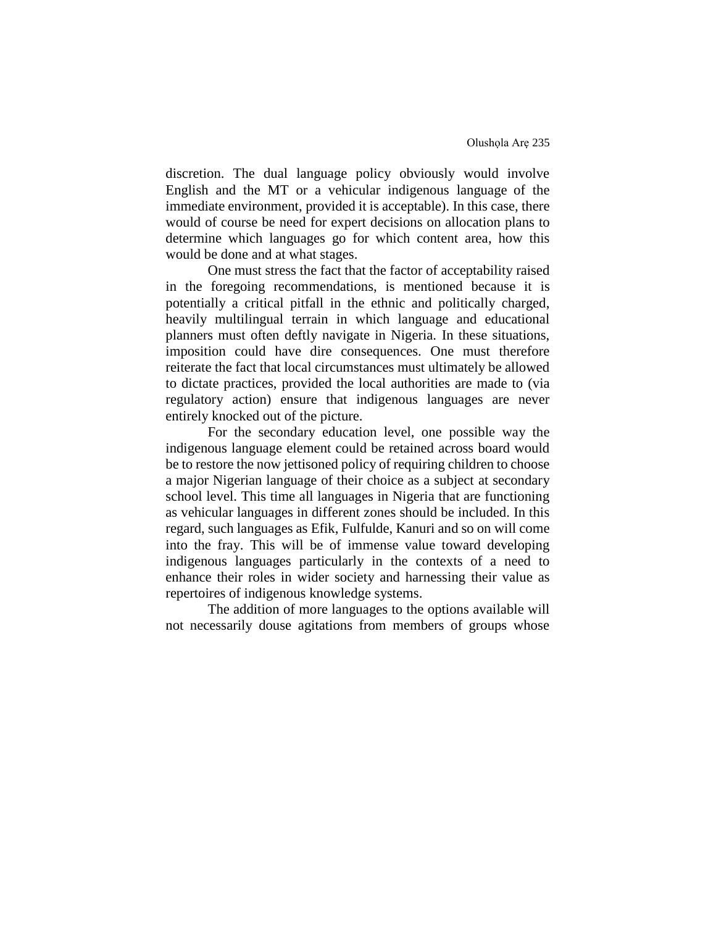discretion. The dual language policy obviously would involve English and the MT or a vehicular indigenous language of the immediate environment, provided it is acceptable). In this case, there would of course be need for expert decisions on allocation plans to determine which languages go for which content area, how this would be done and at what stages.

One must stress the fact that the factor of acceptability raised in the foregoing recommendations, is mentioned because it is potentially a critical pitfall in the ethnic and politically charged, heavily multilingual terrain in which language and educational planners must often deftly navigate in Nigeria. In these situations, imposition could have dire consequences. One must therefore reiterate the fact that local circumstances must ultimately be allowed to dictate practices, provided the local authorities are made to (via regulatory action) ensure that indigenous languages are never entirely knocked out of the picture.

For the secondary education level, one possible way the indigenous language element could be retained across board would be to restore the now jettisoned policy of requiring children to choose a major Nigerian language of their choice as a subject at secondary school level. This time all languages in Nigeria that are functioning as vehicular languages in different zones should be included. In this regard, such languages as Efik, Fulfulde, Kanuri and so on will come into the fray. This will be of immense value toward developing indigenous languages particularly in the contexts of a need to enhance their roles in wider society and harnessing their value as repertoires of indigenous knowledge systems.

The addition of more languages to the options available will not necessarily douse agitations from members of groups whose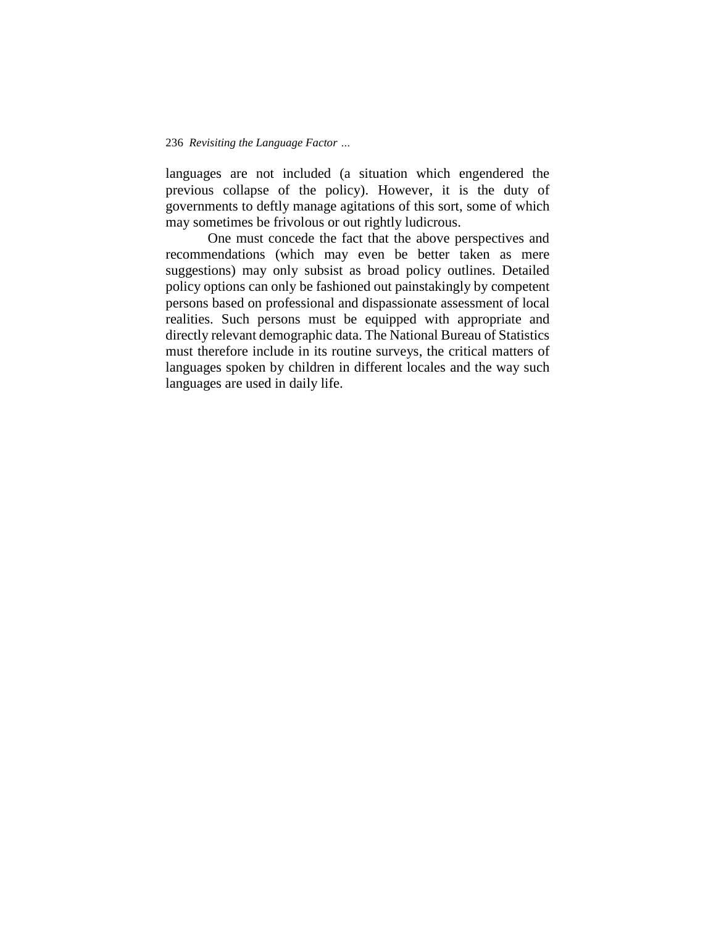languages are not included (a situation which engendered the previous collapse of the policy). However, it is the duty of governments to deftly manage agitations of this sort, some of which may sometimes be frivolous or out rightly ludicrous.

One must concede the fact that the above perspectives and recommendations (which may even be better taken as mere suggestions) may only subsist as broad policy outlines. Detailed policy options can only be fashioned out painstakingly by competent persons based on professional and dispassionate assessment of local realities. Such persons must be equipped with appropriate and directly relevant demographic data. The National Bureau of Statistics must therefore include in its routine surveys, the critical matters of languages spoken by children in different locales and the way such languages are used in daily life.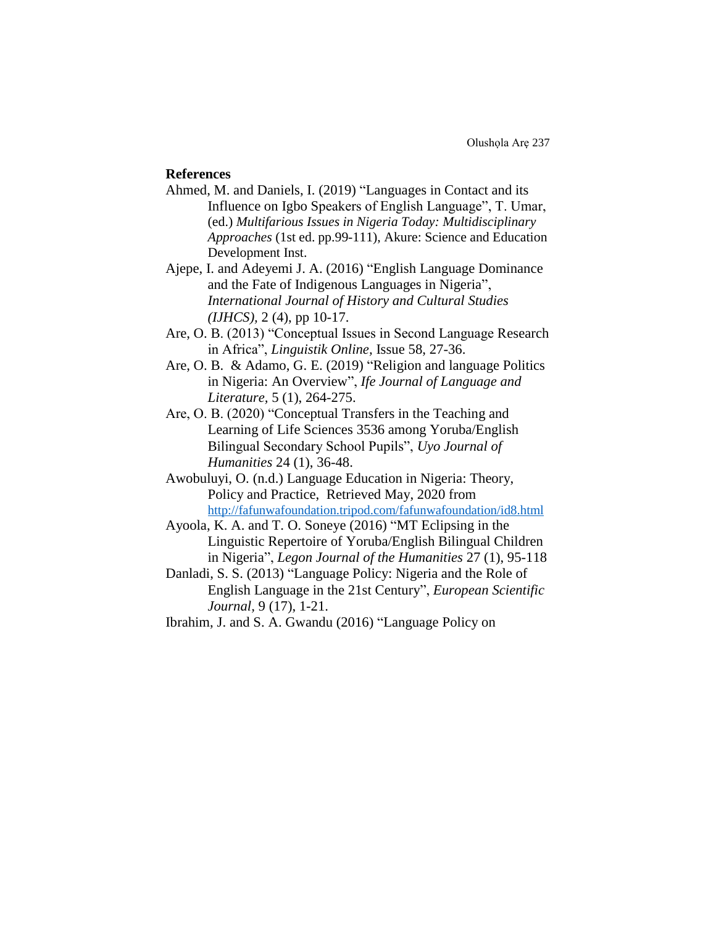# **References**

- Ahmed, M. and Daniels, I. (2019) "Languages in Contact and its Influence on Igbo Speakers of English Language", T. Umar, (ed.) *Multifarious Issues in Nigeria Today: Multidisciplinary Approaches* (1st ed. pp.99-111), Akure: Science and Education Development Inst.
- Ajepe, I. and Adeyemi J. A. (2016) "English Language Dominance and the Fate of Indigenous Languages in Nigeria", *International Journal of History and Cultural Studies (IJHCS),* 2 (4), pp 10-17.
- Are, O. B. (2013) "Conceptual Issues in Second Language Research in Africa", *Linguistik Online,* Issue 58, 27-36.
- Are, O. B. & Adamo, G. E. (2019) "Religion and language Politics in Nigeria: An Overview", *Ife Journal of Language and Literature,* 5 (1), 264-275.
- Are, O. B. (2020) "Conceptual Transfers in the Teaching and Learning of Life Sciences 3536 among Yoruba/English Bilingual Secondary School Pupils", *Uyo Journal of Humanities* 24 (1), 36-48.
- Awobuluyi, O. (n.d.) Language Education in Nigeria: Theory, Policy and Practice, Retrieved May, 2020 from <http://fafunwafoundation.tripod.com/fafunwafoundation/id8.html>
- Ayoola, K. A. and T. O. Soneye (2016) "MT Eclipsing in the Linguistic Repertoire of Yoruba/English Bilingual Children in Nigeria", *Legon Journal of the Humanities* 27 (1), 95-118
- Danladi, S. S. (2013) "Language Policy: Nigeria and the Role of English Language in the 21st Century", *European Scientific Journal,* 9 (17), 1-21.
- Ibrahim, J. and S. A. Gwandu (2016) "Language Policy on